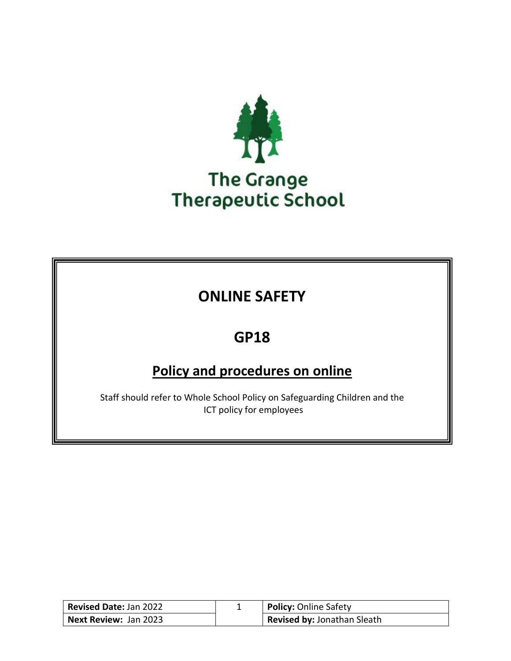

## **ONLINE SAFETY**

## **GP18**

## **Policy and procedures on online**

Staff should refer to Whole School Policy on Safeguarding Children and the ICT policy for employees

| <b>Revised Date: Jan 2022</b> | <b>Policy: Online Safety</b> |
|-------------------------------|------------------------------|
| Next Review: Jan 2023         | Revised by: Jonathan Sleath  |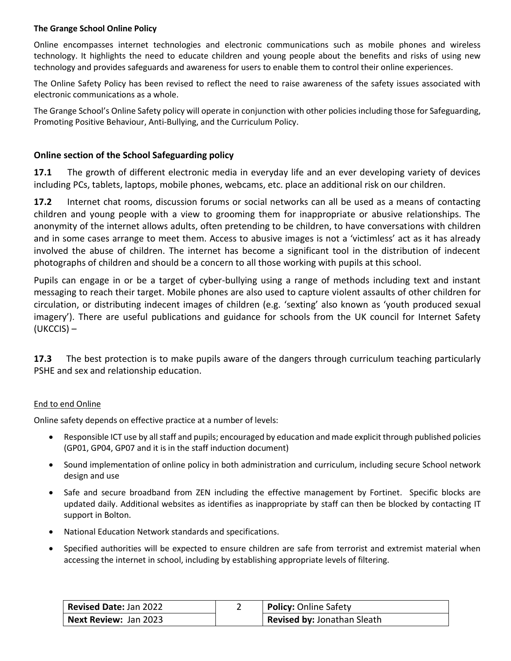#### **The Grange School Online Policy**

Online encompasses internet technologies and electronic communications such as mobile phones and wireless technology. It highlights the need to educate children and young people about the benefits and risks of using new technology and provides safeguards and awareness for users to enable them to control their online experiences.

The Online Safety Policy has been revised to reflect the need to raise awareness of the safety issues associated with electronic communications as a whole.

The Grange School's Online Safety policy will operate in conjunction with other policies including those for Safeguarding, Promoting Positive Behaviour, Anti-Bullying, and the Curriculum Policy.

#### **Online section of the School Safeguarding policy**

**17.1** The growth of different electronic media in everyday life and an ever developing variety of devices including PCs, tablets, laptops, mobile phones, webcams, etc. place an additional risk on our children.

**17.2** Internet chat rooms, discussion forums or social networks can all be used as a means of contacting children and young people with a view to grooming them for inappropriate or abusive relationships. The anonymity of the internet allows adults, often pretending to be children, to have conversations with children and in some cases arrange to meet them. Access to abusive images is not a 'victimless' act as it has already involved the abuse of children. The internet has become a significant tool in the distribution of indecent photographs of children and should be a concern to all those working with pupils at this school.

Pupils can engage in or be a target of cyber-bullying using a range of methods including text and instant messaging to reach their target. Mobile phones are also used to capture violent assaults of other children for circulation, or distributing indecent images of children (e.g. 'sexting' also known as 'youth produced sexual imagery'). There are useful publications and guidance for schools from the UK council for Internet Safety (UKCCIS) –

**17.3** The best protection is to make pupils aware of the dangers through curriculum teaching particularly PSHE and sex and relationship education.

#### End to end Online

Online safety depends on effective practice at a number of levels:

- Responsible ICT use by all staff and pupils; encouraged by education and made explicit through published policies (GP01, GP04, GP07 and it is in the staff induction document)
- Sound implementation of online policy in both administration and curriculum, including secure School network design and use
- Safe and secure broadband from ZEN including the effective management by Fortinet. Specific blocks are updated daily. Additional websites as identifies as inappropriate by staff can then be blocked by contacting IT support in Bolton.
- National Education Network standards and specifications.
- Specified authorities will be expected to ensure children are safe from terrorist and extremist material when accessing the internet in school, including by establishing appropriate levels of filtering.

| <b>Revised Date: Jan 2022</b> | <b>Policy: Online Safety</b>       |
|-------------------------------|------------------------------------|
| <b>Next Review:</b> Jan 2023  | <b>Revised by: Jonathan Sleath</b> |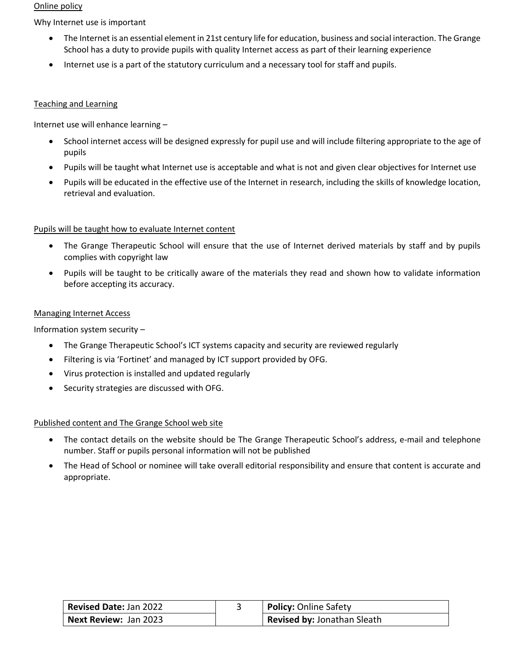#### Online policy

Why Internet use is important

- The Internet is an essential element in 21st century life for education, business and social interaction. The Grange School has a duty to provide pupils with quality Internet access as part of their learning experience
- Internet use is a part of the statutory curriculum and a necessary tool for staff and pupils.

#### Teaching and Learning

Internet use will enhance learning –

- School internet access will be designed expressly for pupil use and will include filtering appropriate to the age of pupils
- Pupils will be taught what Internet use is acceptable and what is not and given clear objectives for Internet use
- Pupils will be educated in the effective use of the Internet in research, including the skills of knowledge location, retrieval and evaluation.

#### Pupils will be taught how to evaluate Internet content

- The Grange Therapeutic School will ensure that the use of Internet derived materials by staff and by pupils complies with copyright law
- Pupils will be taught to be critically aware of the materials they read and shown how to validate information before accepting its accuracy.

#### Managing Internet Access

Information system security –

- The Grange Therapeutic School's ICT systems capacity and security are reviewed regularly
- Filtering is via 'Fortinet' and managed by ICT support provided by OFG.
- Virus protection is installed and updated regularly
- Security strategies are discussed with OFG.

#### Published content and The Grange School web site

- The contact details on the website should be The Grange Therapeutic School's address, e-mail and telephone number. Staff or pupils personal information will not be published
- The Head of School or nominee will take overall editorial responsibility and ensure that content is accurate and appropriate.

| <b>Revised Date: Jan 2022</b> | <b>Policy: Online Safety</b> |
|-------------------------------|------------------------------|
| <b>Next Review: Jan 2023</b>  | Revised by: Jonathan Sleath  |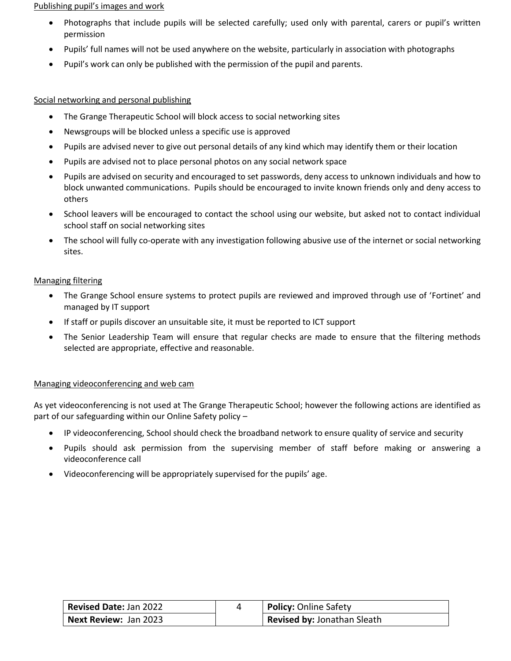#### Publishing pupil's images and work

- Photographs that include pupils will be selected carefully; used only with parental, carers or pupil's written permission
- Pupils' full names will not be used anywhere on the website, particularly in association with photographs
- Pupil's work can only be published with the permission of the pupil and parents.

#### Social networking and personal publishing

- The Grange Therapeutic School will block access to social networking sites
- Newsgroups will be blocked unless a specific use is approved
- Pupils are advised never to give out personal details of any kind which may identify them or their location
- Pupils are advised not to place personal photos on any social network space
- Pupils are advised on security and encouraged to set passwords, deny access to unknown individuals and how to block unwanted communications. Pupils should be encouraged to invite known friends only and deny access to others
- School leavers will be encouraged to contact the school using our website, but asked not to contact individual school staff on social networking sites
- The school will fully co-operate with any investigation following abusive use of the internet or social networking sites.

#### Managing filtering

- The Grange School ensure systems to protect pupils are reviewed and improved through use of 'Fortinet' and managed by IT support
- If staff or pupils discover an unsuitable site, it must be reported to ICT support
- The Senior Leadership Team will ensure that regular checks are made to ensure that the filtering methods selected are appropriate, effective and reasonable.

#### Managing videoconferencing and web cam

As yet videoconferencing is not used at The Grange Therapeutic School; however the following actions are identified as part of our safeguarding within our Online Safety policy –

- IP videoconferencing, School should check the broadband network to ensure quality of service and security
- Pupils should ask permission from the supervising member of staff before making or answering a videoconference call
- Videoconferencing will be appropriately supervised for the pupils' age.

| Revised Date: Jan 2022       | <b>Policy: Online Safety</b> |
|------------------------------|------------------------------|
| <b>Next Review: Jan 2023</b> | Revised by: Jonathan Sleath  |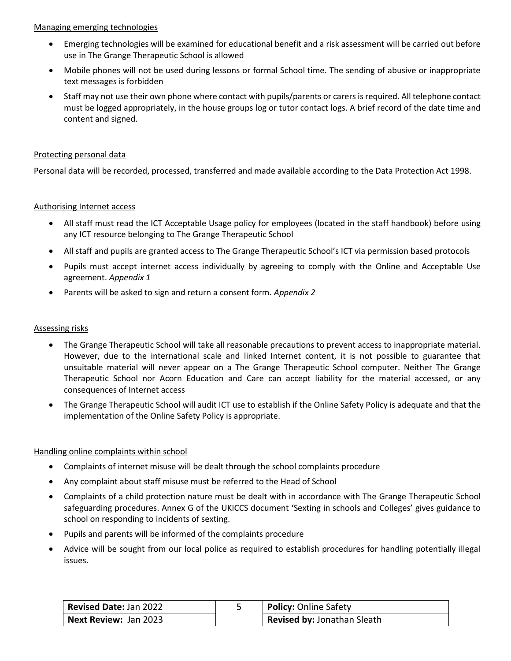#### Managing emerging technologies

- Emerging technologies will be examined for educational benefit and a risk assessment will be carried out before use in The Grange Therapeutic School is allowed
- Mobile phones will not be used during lessons or formal School time. The sending of abusive or inappropriate text messages is forbidden
- Staff may not use their own phone where contact with pupils/parents or carers isrequired. All telephone contact must be logged appropriately, in the house groups log or tutor contact logs. A brief record of the date time and content and signed.

#### Protecting personal data

Personal data will be recorded, processed, transferred and made available according to the Data Protection Act 1998.

#### Authorising Internet access

- All staff must read the ICT Acceptable Usage policy for employees (located in the staff handbook) before using any ICT resource belonging to The Grange Therapeutic School
- All staff and pupils are granted access to The Grange Therapeutic School's ICT via permission based protocols
- Pupils must accept internet access individually by agreeing to comply with the Online and Acceptable Use agreement. *Appendix 1*
- Parents will be asked to sign and return a consent form. *Appendix 2*

#### Assessing risks

- The Grange Therapeutic School will take all reasonable precautions to prevent access to inappropriate material. However, due to the international scale and linked Internet content, it is not possible to guarantee that unsuitable material will never appear on a The Grange Therapeutic School computer. Neither The Grange Therapeutic School nor Acorn Education and Care can accept liability for the material accessed, or any consequences of Internet access
- The Grange Therapeutic School will audit ICT use to establish if the Online Safety Policy is adequate and that the implementation of the Online Safety Policy is appropriate.

#### Handling online complaints within school

- Complaints of internet misuse will be dealt through the school complaints procedure
- Any complaint about staff misuse must be referred to the Head of School
- Complaints of a child protection nature must be dealt with in accordance with The Grange Therapeutic School safeguarding procedures. Annex G of the UKICCS document 'Sexting in schools and Colleges' gives guidance to school on responding to incidents of sexting.
- Pupils and parents will be informed of the complaints procedure
- Advice will be sought from our local police as required to establish procedures for handling potentially illegal issues.

| <b>Revised Date: Jan 2022</b> | <b>Policy: Online Safety</b> |
|-------------------------------|------------------------------|
| Next Review: Jan 2023         | Revised by: Jonathan Sleath  |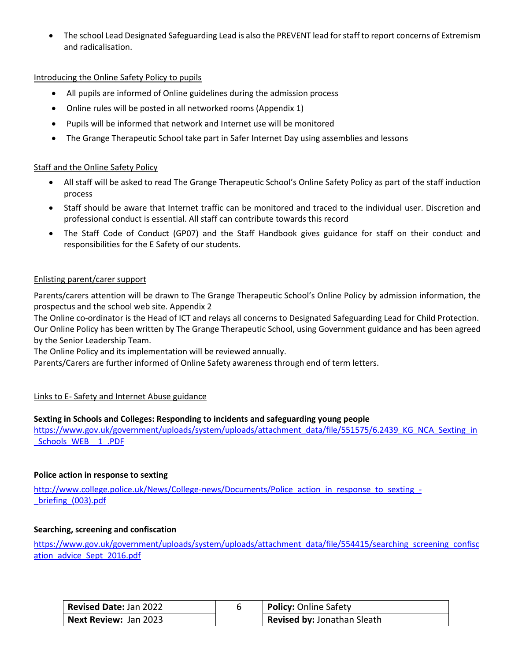• The school Lead Designated Safeguarding Lead is also the PREVENT lead for staff to report concerns of Extremism and radicalisation.

#### Introducing the Online Safety Policy to pupils

- All pupils are informed of Online guidelines during the admission process
- Online rules will be posted in all networked rooms (Appendix 1)
- Pupils will be informed that network and Internet use will be monitored
- The Grange Therapeutic School take part in Safer Internet Day using assemblies and lessons

#### Staff and the Online Safety Policy

- All staff will be asked to read The Grange Therapeutic School's Online Safety Policy as part of the staff induction process
- Staff should be aware that Internet traffic can be monitored and traced to the individual user. Discretion and professional conduct is essential. All staff can contribute towards this record
- The Staff Code of Conduct (GP07) and the Staff Handbook gives guidance for staff on their conduct and responsibilities for the E Safety of our students.

#### Enlisting parent/carer support

Parents/carers attention will be drawn to The Grange Therapeutic School's Online Policy by admission information, the prospectus and the school web site. Appendix 2

The Online co-ordinator is the Head of ICT and relays all concerns to Designated Safeguarding Lead for Child Protection. Our Online Policy has been written by The Grange Therapeutic School, using Government guidance and has been agreed by the Senior Leadership Team.

The Online Policy and its implementation will be reviewed annually.

Parents/Carers are further informed of Online Safety awareness through end of term letters.

#### Links to E- Safety and Internet Abuse guidance

#### **Sexting in Schools and Colleges: Responding to incidents and safeguarding young people**

[https://www.gov.uk/government/uploads/system/uploads/attachment\\_data/file/551575/6.2439\\_KG\\_NCA\\_Sexting\\_in](https://www.gov.uk/government/uploads/system/uploads/attachment_data/file/551575/6.2439_KG_NCA_Sexting_in_Schools_WEB__1_.PDF) [\\_Schools\\_WEB\\_\\_1\\_.PDF](https://www.gov.uk/government/uploads/system/uploads/attachment_data/file/551575/6.2439_KG_NCA_Sexting_in_Schools_WEB__1_.PDF)

#### **Police action in response to sexting**

[http://www.college.police.uk/News/College-news/Documents/Police\\_action\\_in\\_response\\_to\\_sexting\\_-](http://www.college.police.uk/News/College-news/Documents/Police_action_in_response_to_sexting_-_briefing_(003).pdf) [\\_briefing\\_\(003\).pdf](http://www.college.police.uk/News/College-news/Documents/Police_action_in_response_to_sexting_-_briefing_(003).pdf)

#### **Searching, screening and confiscation**

[https://www.gov.uk/government/uploads/system/uploads/attachment\\_data/file/554415/searching\\_screening\\_confisc](https://www.gov.uk/government/uploads/system/uploads/attachment_data/file/554415/searching_screening_confiscation_advice_Sept_2016.pdf) [ation\\_advice\\_Sept\\_2016.pdf](https://www.gov.uk/government/uploads/system/uploads/attachment_data/file/554415/searching_screening_confiscation_advice_Sept_2016.pdf)

| <b>Revised Date: Jan 2022</b> | <b>Policy:</b> Online Safety |
|-------------------------------|------------------------------|
| Next Review: Jan 2023         | Revised by: Jonathan Sleath  |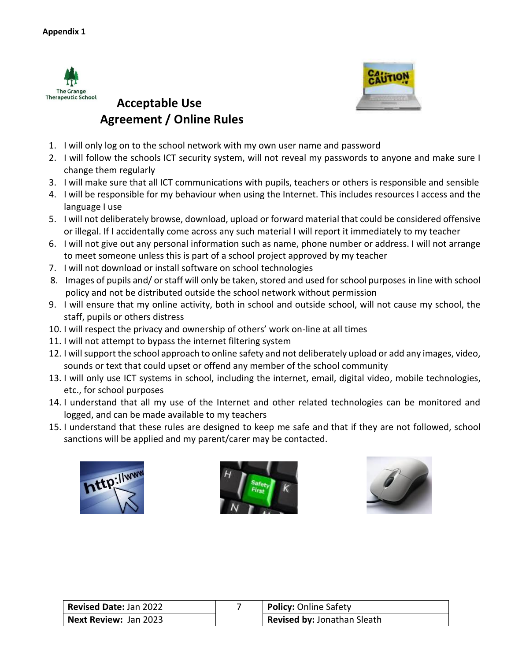



### **Acceptable Use Agreement / Online Rules**

- 1. I will only log on to the school network with my own user name and password
- 2. I will follow the schools ICT security system, will not reveal my passwords to anyone and make sure I change them regularly
- 3. I will make sure that all ICT communications with pupils, teachers or others is responsible and sensible
- 4. I will be responsible for my behaviour when using the Internet. This includes resources I access and the language I use
- 5. I will not deliberately browse, download, upload or forward material that could be considered offensive or illegal. If I accidentally come across any such material I will report it immediately to my teacher
- 6. I will not give out any personal information such as name, phone number or address. I will not arrange to meet someone unless this is part of a school project approved by my teacher
- 7. I will not download or install software on school technologies
- 8. Images of pupils and/ or staff will only be taken, stored and used for school purposes in line with school policy and not be distributed outside the school network without permission
- 9. I will ensure that my online activity, both in school and outside school, will not cause my school, the staff, pupils or others distress
- 10. I will respect the privacy and ownership of others' work on-line at all times
- 11. I will not attempt to bypass the internet filtering system
- 12. I will support the school approach to online safety and not deliberately upload or add any images, video, sounds or text that could upset or offend any member of the school community
- 13. I will only use ICT systems in school, including the internet, email, digital video, mobile technologies, etc., for school purposes
- 14. I understand that all my use of the Internet and other related technologies can be monitored and logged, and can be made available to my teachers
- 15. I understand that these rules are designed to keep me safe and that if they are not followed, school sanctions will be applied and my parent/carer may be contacted.







| <b>Revised Date: Jan 2022</b> | <b>Policy: Online Safety</b>       |
|-------------------------------|------------------------------------|
| Next Review: Jan 2023         | <b>Revised by: Jonathan Sleath</b> |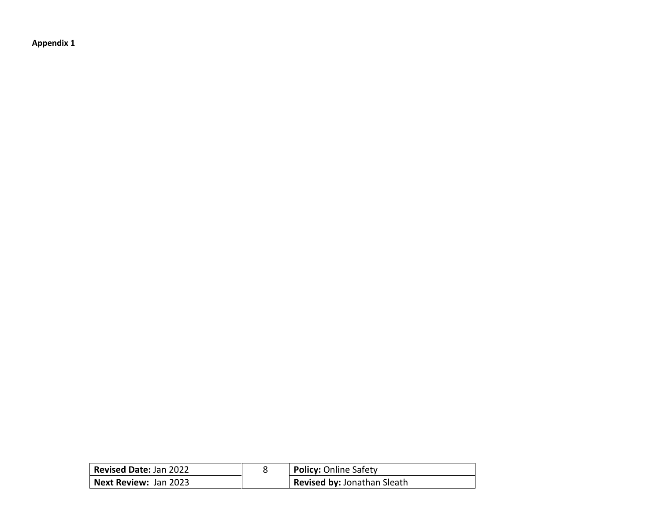**Appendix 1**

| <b>Revised Date: Jan 2022</b> | <b>Policy: Online Safety</b>       |
|-------------------------------|------------------------------------|
| Next Review: Jan 2023         | <b>Revised by: Jonathan Sleath</b> |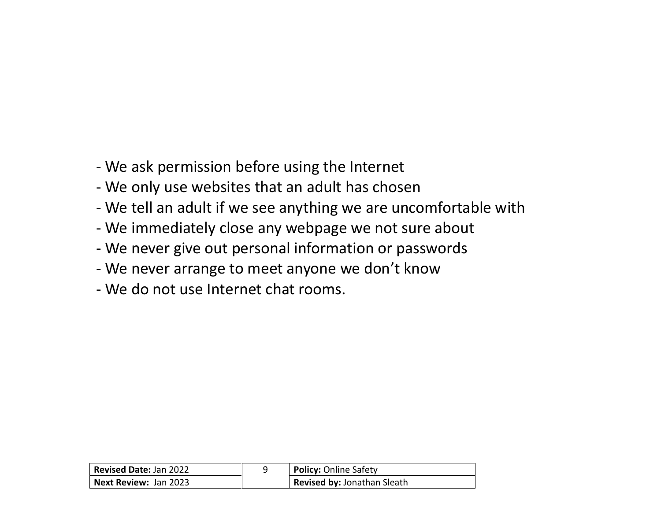- We ask permission before using the Internet
- We only use websites that an adult has chosen
- We tell an adult if we see anything we are uncomfortable with
- We immediately close any webpage we not sure about
- We never give out personal information or passwords
- We never arrange to meet anyone we don't know
- We do not use Internet chat rooms.

| <b>Revised Date: Jan 2022</b> | <b>Policy: Online Safety</b> |
|-------------------------------|------------------------------|
| <b>Next Review: Jan 2023</b>  | Revised by: Jonathan Sleath  |